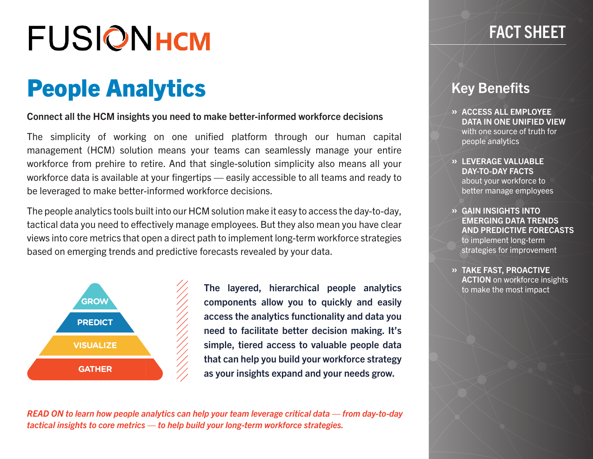# **FUSIONHCM**

### People Analytics

#### Connect all the HCM insights you need to make better-informed workforce decisions

The simplicity of working on one unified platform through our human capital management (HCM) solution means your teams can seamlessly manage your entire workforce from prehire to retire. And that single-solution simplicity also means all your workforce data is available at your fingertips — easily accessible to all teams and ready to be leveraged to make better-informed workforce decisions.

The people analytics tools built into our HCM solution make it easy to access the day-to-day, tactical data you need to effectively manage employees. But they also mean you have clear views into core metrics that open a direct path to implement long-term workforce strategies based on emerging trends and predictive forecasts revealed by your data.



The layered, hierarchical people analytics components allow you to quickly and easily access the analytics functionality and data you need to facilitate better decision making. It's simple, tiered access to valuable people data that can help you build your workforce strategy as your insights expand and your needs grow.

*READ ON to learn how people analytics can help your team leverage critical data — from day-to-day tactical insights to core metrics — to help build your long-term workforce strategies.*

### FACT SHEET

### Key Benefits

- » ACCESS ALL EMPLOYEE DATA IN ONE UNIFIED VIEW with one source of truth for people analytics
- » LEVERAGE VALUABLE DAY-TO-DAY FACTS about your workforce to better manage employees
- » GAIN INSIGHTS INTO EMERGING DATA TRENDS AND PREDICTIVE FORECASTS to implement long-term strategies for improvement
- » TAKE FAST, PROACTIVE ACTION on workforce insights to make the most impact